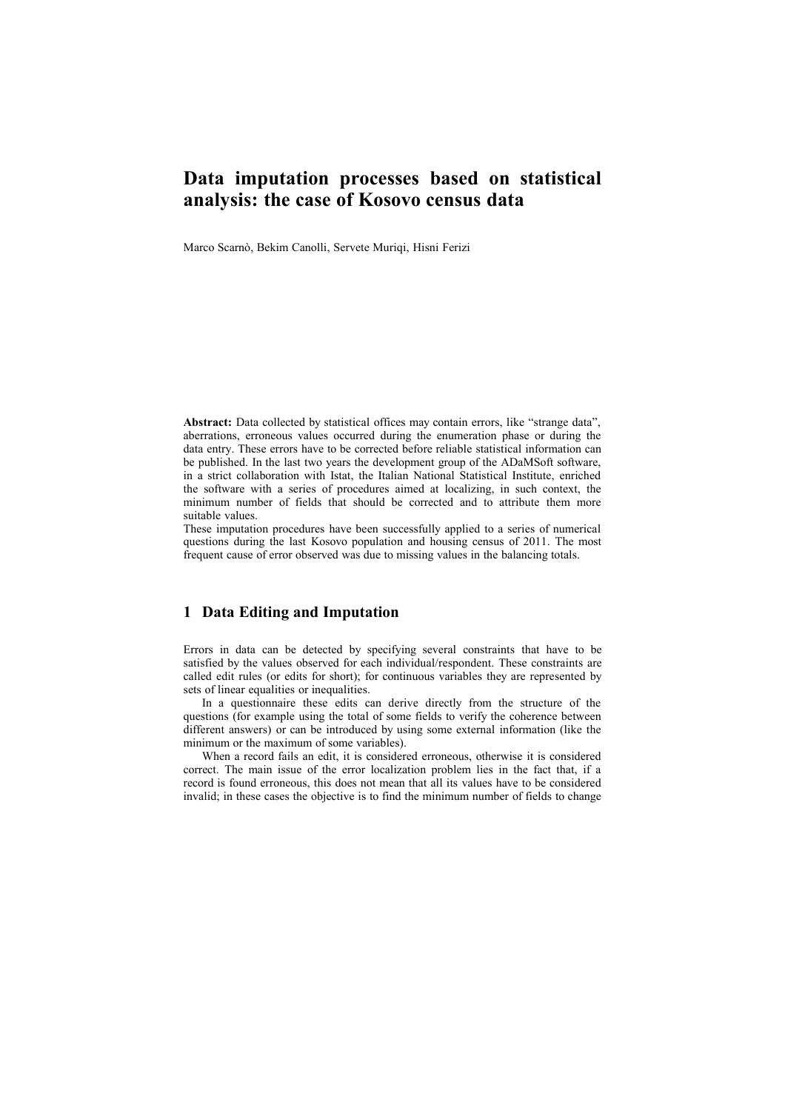# **Data imputation processes based on statistical analysis: the case of Kosovo census data**

Marco Scarnò, Bekim Canolli, Servete Muriqi, Hisni Ferizi

**Abstract:** Data collected by statistical offices may contain errors, like "strange data", aberrations, erroneous values occurred during the enumeration phase or during the data entry. These errors have to be corrected before reliable statistical information can be published. In the last two years the development group of the ADaMSoft software, in a strict collaboration with Istat, the Italian National Statistical Institute, enriched the software with a series of procedures aimed at localizing, in such context, the minimum number of fields that should be corrected and to attribute them more suitable values.

These imputation procedures have been successfully applied to a series of numerical questions during the last Kosovo population and housing census of 2011. The most frequent cause of error observed was due to missing values in the balancing totals.

## **1 Data Editing and Imputation**

Errors in data can be detected by specifying several constraints that have to be satisfied by the values observed for each individual/respondent. These constraints are called edit rules (or edits for short); for continuous variables they are represented by sets of linear equalities or inequalities.

In a questionnaire these edits can derive directly from the structure of the questions (for example using the total of some fields to verify the coherence between different answers) or can be introduced by using some external information (like the minimum or the maximum of some variables).

When a record fails an edit, it is considered erroneous, otherwise it is considered correct. The main issue of the error localization problem lies in the fact that, if a record is found erroneous, this does not mean that all its values have to be considered invalid; in these cases the objective is to find the minimum number of fields to change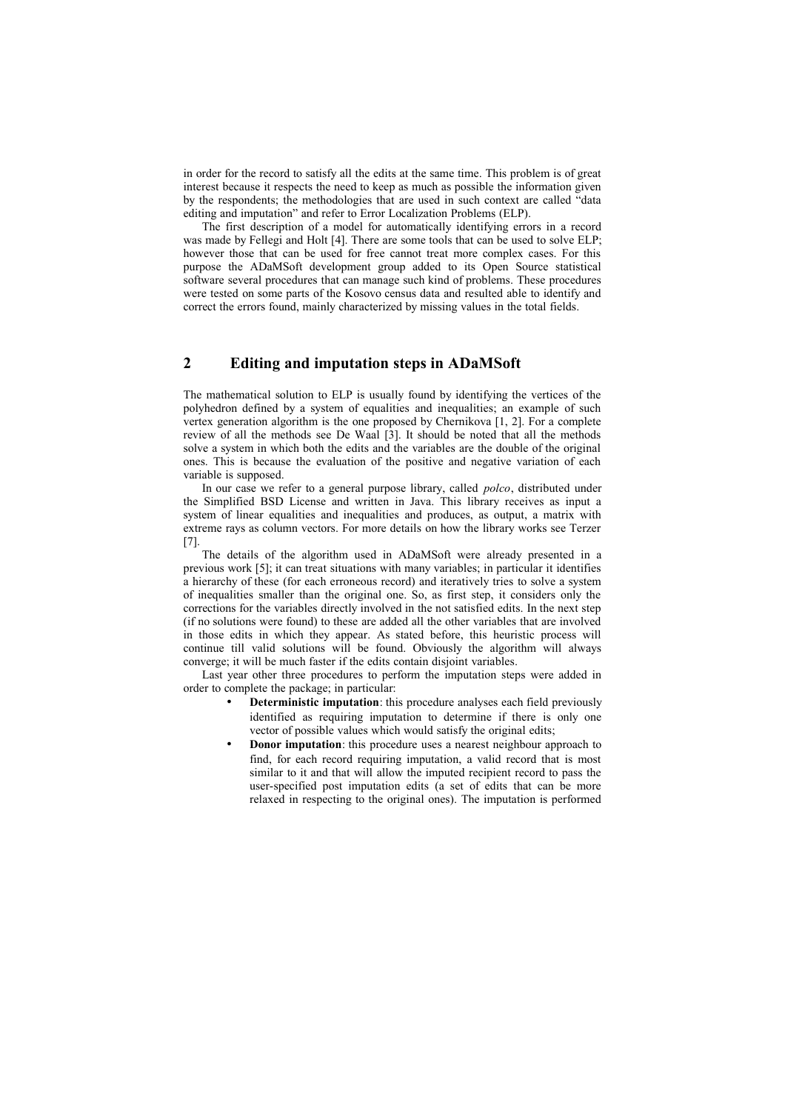in order for the record to satisfy all the edits at the same time. This problem is of great interest because it respects the need to keep as much as possible the information given by the respondents; the methodologies that are used in such context are called "data editing and imputation" and refer to Error Localization Problems (ELP).

The first description of a model for automatically identifying errors in a record was made by Fellegi and Holt [4]. There are some tools that can be used to solve ELP; however those that can be used for free cannot treat more complex cases. For this purpose the ADaMSoft development group added to its Open Source statistical software several procedures that can manage such kind of problems. These procedures were tested on some parts of the Kosovo census data and resulted able to identify and correct the errors found, mainly characterized by missing values in the total fields.

#### **2 Editing and imputation steps in ADaMSoft**

The mathematical solution to ELP is usually found by identifying the vertices of the polyhedron defined by a system of equalities and inequalities; an example of such vertex generation algorithm is the one proposed by Chernikova [1, 2]. For a complete review of all the methods see De Waal [3]. It should be noted that all the methods solve a system in which both the edits and the variables are the double of the original ones. This is because the evaluation of the positive and negative variation of each variable is supposed.

In our case we refer to a general purpose library, called *polco*, distributed under the Simplified BSD License and written in Java. This library receives as input a system of linear equalities and inequalities and produces, as output, a matrix with extreme rays as column vectors. For more details on how the library works see Terzer [7].

The details of the algorithm used in ADaMSoft were already presented in a previous work [5]; it can treat situations with many variables; in particular it identifies a hierarchy of these (for each erroneous record) and iteratively tries to solve a system of inequalities smaller than the original one. So, as first step, it considers only the corrections for the variables directly involved in the not satisfied edits. In the next step (if no solutions were found) to these are added all the other variables that are involved in those edits in which they appear. As stated before, this heuristic process will continue till valid solutions will be found. Obviously the algorithm will always converge; it will be much faster if the edits contain disjoint variables.

Last year other three procedures to perform the imputation steps were added in order to complete the package; in particular:

- **Deterministic imputation**: this procedure analyses each field previously identified as requiring imputation to determine if there is only one vector of possible values which would satisfy the original edits;
- **Donor imputation**: this procedure uses a nearest neighbour approach to find, for each record requiring imputation, a valid record that is most similar to it and that will allow the imputed recipient record to pass the user-specified post imputation edits (a set of edits that can be more relaxed in respecting to the original ones). The imputation is performed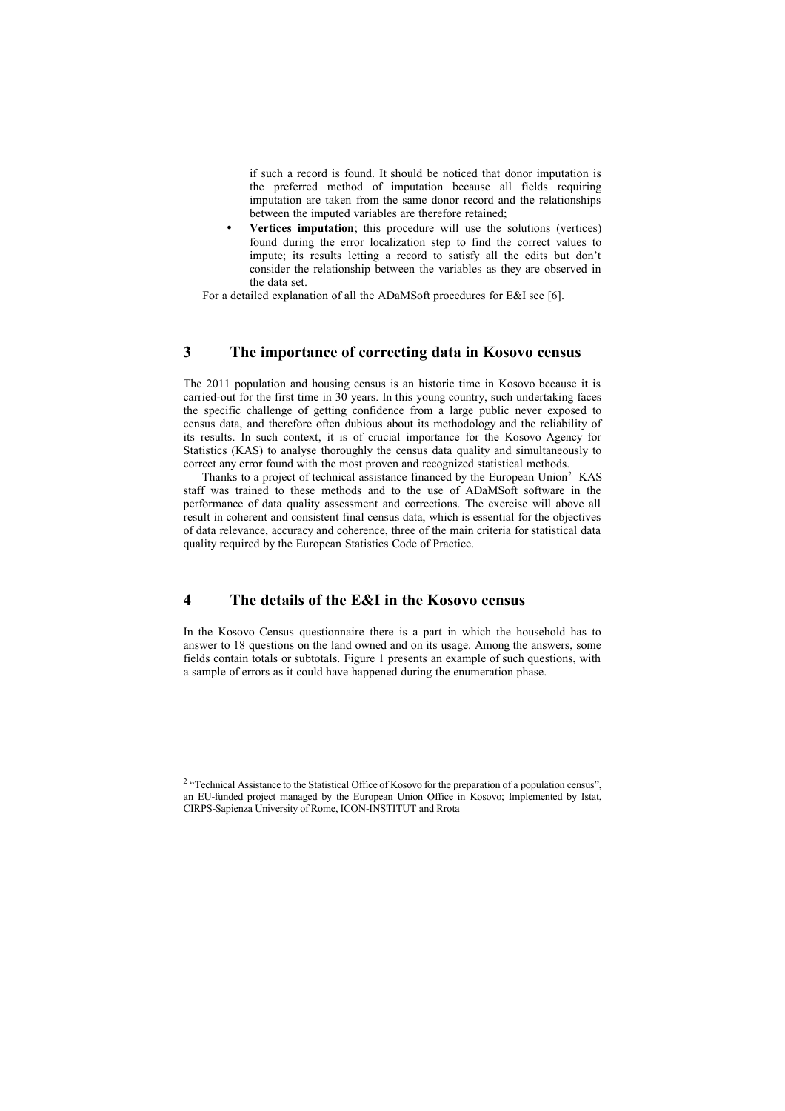if such a record is found. It should be noticed that donor imputation is the preferred method of imputation because all fields requiring imputation are taken from the same donor record and the relationships between the imputed variables are therefore retained;

• **Vertices imputation**; this procedure will use the solutions (vertices) found during the error localization step to find the correct values to impute; its results letting a record to satisfy all the edits but don't consider the relationship between the variables as they are observed in the data set.

For a detailed explanation of all the ADaMSoft procedures for E&I see [6].

#### **3 The importance of correcting data in Kosovo census**

The 2011 population and housing census is an historic time in Kosovo because it is carried-out for the first time in  $30$  years. In this young country, such undertaking faces the specific challenge of getting confidence from a large public never exposed to census data, and therefore often dubious about its methodology and the reliability of its results. In such context, it is of crucial importance for the Kosovo Agency for Statistics (KAS) to analyse thoroughly the census data quality and simultaneously to correct any error found with the most proven and recognized statistical methods.

Thanks to a project of technical assistance financed by the European Union<sup>[2](#page-2-0)</sup> KAS staff was trained to these methods and to the use of ADaMSoft software in the performance of data quality assessment and corrections. The exercise will above all result in coherent and consistent final census data, which is essential for the objectives of data relevance, accuracy and coherence, three of the main criteria for statistical data quality required by the European Statistics Code of Practice.

#### **4 The details of the E&I in the Kosovo census**

In the Kosovo Census questionnaire there is a part in which the household has to answer to 18 questions on the land owned and on its usage. Among the answers, some fields contain totals or subtotals. Figure 1 presents an example of such questions, with a sample of errors as it could have happened during the enumeration phase.

<span id="page-2-0"></span><sup>&</sup>lt;sup>2</sup> "Technical Assistance to the Statistical Office of Kosovo for the preparation of a population census", an EU-funded project managed by the European Union Office in Kosovo; Implemented by Istat, CIRPS-Sapienza University of Rome, ICON-INSTITUT and Rrota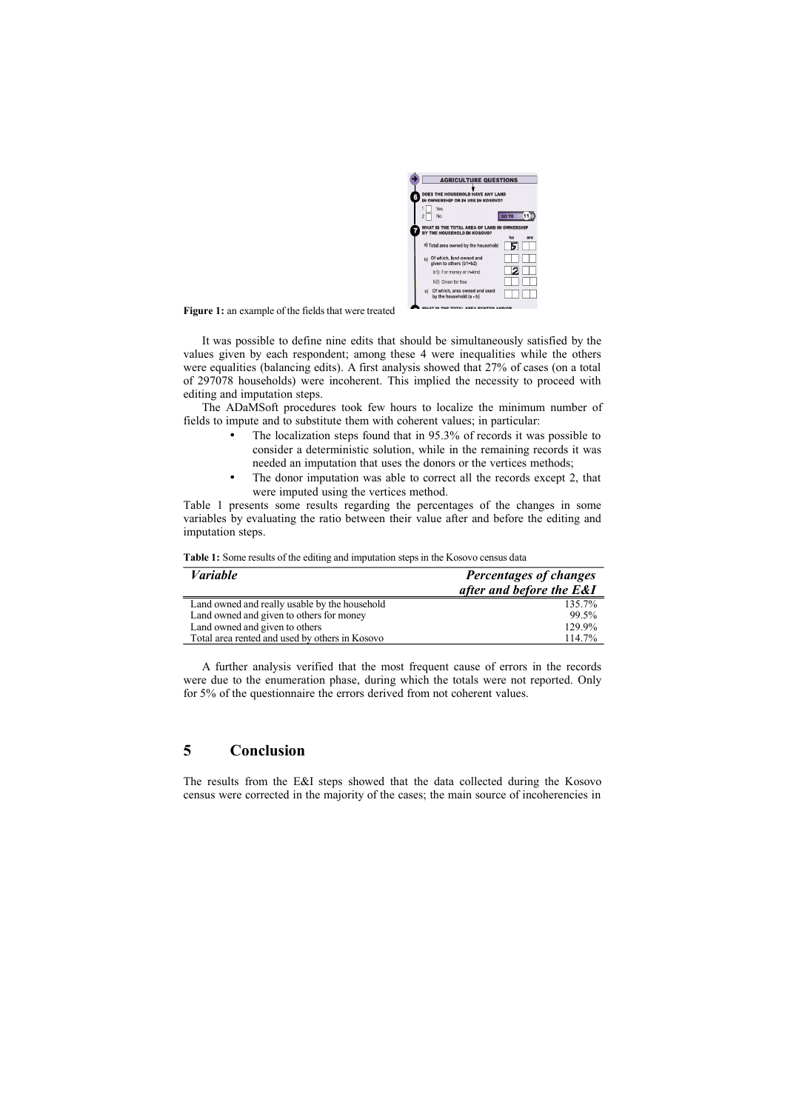

**Figure 1:** an example of the fields that were treated

It was possible to define nine edits that should be simultaneously satisfied by the values given by each respondent; among these 4 were inequalities while the others were equalities (balancing edits). A first analysis showed that 27% of cases (on a total of 297078 households) were incoherent. This implied the necessity to proceed with editing and imputation steps.

The ADaMSoft procedures took few hours to localize the minimum number of fields to impute and to substitute them with coherent values; in particular:

- The localization steps found that in 95.3% of records it was possible to consider a deterministic solution, while in the remaining records it was needed an imputation that uses the donors or the vertices methods;
- The donor imputation was able to correct all the records except 2, that were imputed using the vertices method.

Table 1 presents some results regarding the percentages of the changes in some variables by evaluating the ratio between their value after and before the editing and imputation steps.

| <i>Variable</i>                                | Percentages of changes   |
|------------------------------------------------|--------------------------|
|                                                | after and before the E&I |
| Land owned and really usable by the household  | 135.7%                   |
| Land owned and given to others for money       | 99.5%                    |
| Land owned and given to others                 | 129.9%                   |
| Total area rented and used by others in Kosovo | 114.7%                   |
|                                                |                          |

A further analysis verified that the most frequent cause of errors in the records were due to the enumeration phase, during which the totals were not reported. Only for 5% of the questionnaire the errors derived from not coherent values.

# **5 Conclusion**

The results from the E&I steps showed that the data collected during the Kosovo census were corrected in the majority of the cases; the main source of incoherencies in